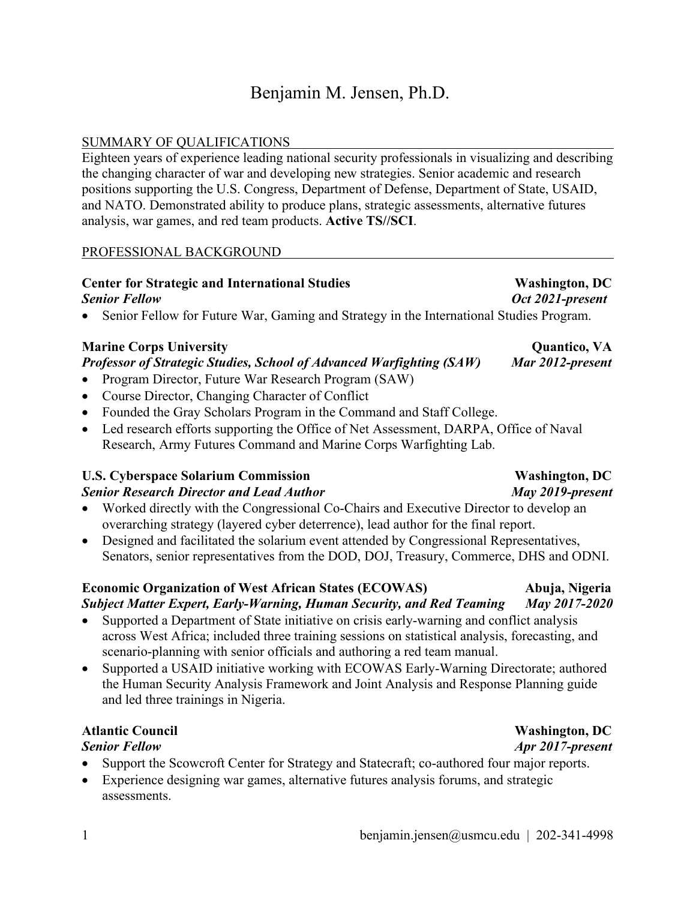# Benjamin M. Jensen, Ph.D.

### SUMMARY OF QUALIFICATIONS

Eighteen years of experience leading national security professionals in visualizing and describing the changing character of war and developing new strategies. Senior academic and research positions supporting the U.S. Congress, Department of Defense, Department of State, USAID, and NATO. Demonstrated ability to produce plans, strategic assessments, alternative futures analysis, war games, and red team products. **Active TS//SCI**.

### PROFESSIONAL BACKGROUND

### **Center for Strategic and International Studies Washington, DC** *Senior Fellow Oct 2021-present*

• Senior Fellow for Future War, Gaming and Strategy in the International Studies Program.

### **Marine Corps University Construction Construction Construction Construction Construction Construction Construction Construction Construction Construction Construction Construction Construction Construction Construction Co**

### *Professor of Strategic Studies, School of Advanced Warfighting (SAW) Mar 2012-present*

- Program Director, Future War Research Program (SAW)
- Course Director, Changing Character of Conflict
- Founded the Gray Scholars Program in the Command and Staff College.
- Led research efforts supporting the Office of Net Assessment, DARPA, Office of Naval Research, Army Futures Command and Marine Corps Warfighting Lab.

## **U.S. Cyberspace Solarium Commission Washington, DC**

### *Senior Research Director and Lead Author May 2019-present*

- Worked directly with the Congressional Co-Chairs and Executive Director to develop an overarching strategy (layered cyber deterrence), lead author for the final report.
- Designed and facilitated the solarium event attended by Congressional Representatives, Senators, senior representatives from the DOD, DOJ, Treasury, Commerce, DHS and ODNI.

### **Economic Organization of West African States (ECOWAS) Abuja, Nigeria** *Subject Matter Expert, Early-Warning, Human Security, and Red Teaming May 2017-2020*

- Supported a Department of State initiative on crisis early-warning and conflict analysis across West Africa; included three training sessions on statistical analysis, forecasting, and scenario-planning with senior officials and authoring a red team manual.
- Supported a USAID initiative working with ECOWAS Early-Warning Directorate; authored the Human Security Analysis Framework and Joint Analysis and Response Planning guide and led three trainings in Nigeria.

### *Senior Fellow Apr 2017-present*

- Support the Scowcroft Center for Strategy and Statecraft; co-authored four major reports.
- Experience designing war games, alternative futures analysis forums, and strategic assessments.

**Atlantic Council Washington, DC**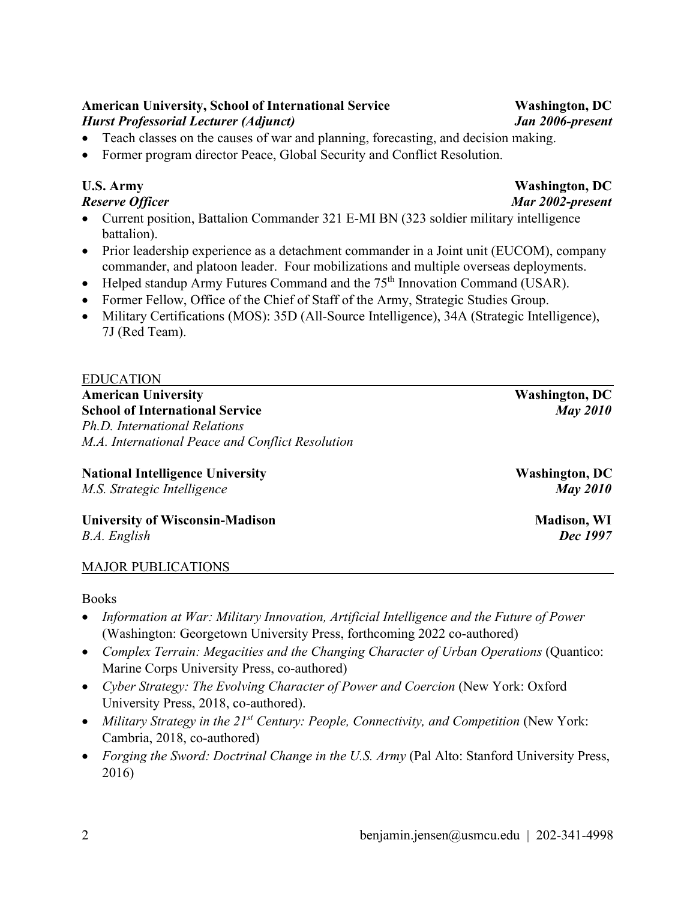# **American University, School of International Service Washington, DC**

### *Hurst Professorial Lecturer (Adjunct) Jan 2006-present*

- Teach classes on the causes of war and planning, forecasting, and decision making.
- Former program director Peace, Global Security and Conflict Resolution.

- Current position, Battalion Commander 321 E-MI BN (323 soldier military intelligence battalion).
- Prior leadership experience as a detachment commander in a Joint unit (EUCOM), company commander, and platoon leader. Four mobilizations and multiple overseas deployments.
- Helped standup Army Futures Command and the  $75<sup>th</sup>$  Innovation Command (USAR).
- Former Fellow, Office of the Chief of Staff of the Army, Strategic Studies Group.
- Military Certifications (MOS): 35D (All-Source Intelligence), 34A (Strategic Intelligence), 7J (Red Team).

### EDUCATION

**American University** Washington, DC **School of International Service** *May 2010 Ph.D. International Relations M.A. International Peace and Conflict Resolution* 

**National Intelligence University National Science Washington, DC** *M.S. Strategic Intelligence May 2010*

**University of Wisconsin-Madison Madison Madison, WI** Madison, WI *B.A. English Dec 1997*

### MAJOR PUBLICATIONS

### Books

- *Information at War: Military Innovation, Artificial Intelligence and the Future of Power* (Washington: Georgetown University Press, forthcoming 2022 co-authored)
- *Complex Terrain: Megacities and the Changing Character of Urban Operations* (Quantico: Marine Corps University Press, co-authored)
- *Cyber Strategy: The Evolving Character of Power and Coercion* (New York: Oxford University Press, 2018, co-authored).
- *Military Strategy in the 21<sup>st</sup> Century: People, Connectivity, and Competition* (New York: Cambria, 2018, co-authored)
- *Forging the Sword: Doctrinal Change in the U.S. Army* (Pal Alto: Stanford University Press, 2016)

# **U.S. Army Washington, DC**

# *Reserve Officer Mar 2002-present*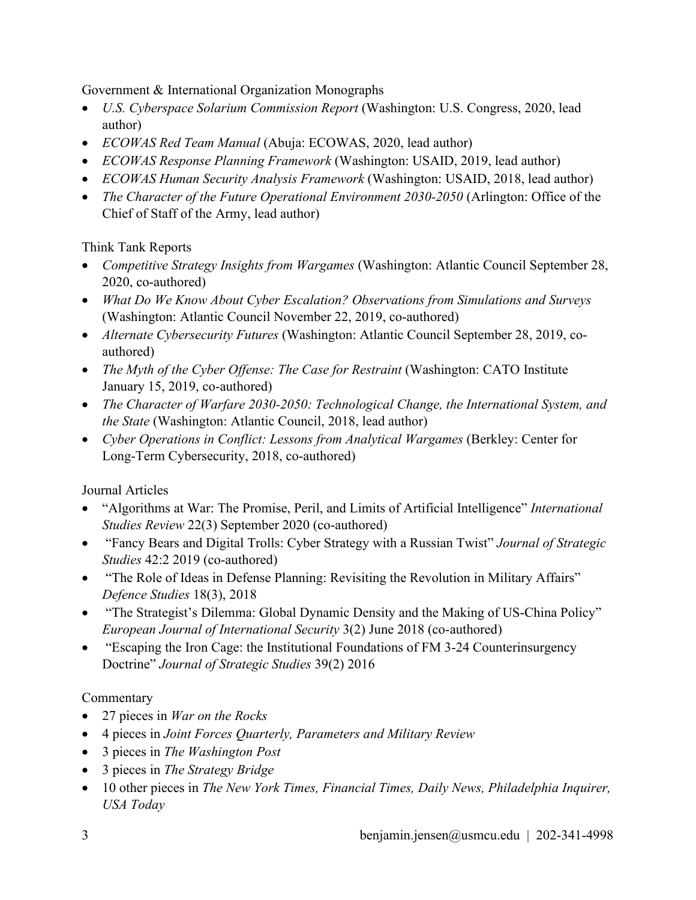Government & International Organization Monographs

- *U.S. Cyberspace Solarium Commission Report* (Washington: U.S. Congress, 2020, lead author)
- *ECOWAS Red Team Manual* (Abuja: ECOWAS, 2020, lead author)
- *ECOWAS Response Planning Framework* (Washington: USAID, 2019, lead author)
- *ECOWAS Human Security Analysis Framework* (Washington: USAID, 2018, lead author)
- *The Character of the Future Operational Environment 2030-2050* (Arlington: Office of the Chief of Staff of the Army, lead author)

Think Tank Reports

- *Competitive Strategy Insights from Wargames* (Washington: Atlantic Council September 28, 2020, co-authored)
- *What Do We Know About Cyber Escalation? Observations from Simulations and Surveys*  (Washington: Atlantic Council November 22, 2019, co-authored)
- *Alternate Cybersecurity Futures* (Washington: Atlantic Council September 28, 2019, coauthored)
- *The Myth of the Cyber Offense: The Case for Restraint* (Washington: CATO Institute January 15, 2019, co-authored)
- *The Character of Warfare 2030-2050: Technological Change, the International System, and the State* (Washington: Atlantic Council, 2018, lead author)
- *Cyber Operations in Conflict: Lessons from Analytical Wargames* (Berkley: Center for Long-Term Cybersecurity, 2018, co-authored)

Journal Articles

- "Algorithms at War: The Promise, Peril, and Limits of Artificial Intelligence" *International Studies Review* 22(3) September 2020 (co-authored)
- "Fancy Bears and Digital Trolls: Cyber Strategy with a Russian Twist" *Journal of Strategic Studies* 42:2 2019 (co-authored)
- "The Role of Ideas in Defense Planning: Revisiting the Revolution in Military Affairs" *Defence Studies* 18(3), 2018
- "The Strategist's Dilemma: Global Dynamic Density and the Making of US-China Policy" *European Journal of International Security* 3(2) June 2018 (co-authored)
- "Escaping the Iron Cage: the Institutional Foundations of FM 3-24 Counterinsurgency Doctrine" *Journal of Strategic Studies* 39(2) 2016

### Commentary

- 27 pieces in *War on the Rocks*
- 4 pieces in *Joint Forces Quarterly, Parameters and Military Review*
- 3 pieces in *The Washington Post*
- 3 pieces in *The Strategy Bridge*
- 10 other pieces in *The New York Times, Financial Times, Daily News, Philadelphia Inquirer, USA Today*